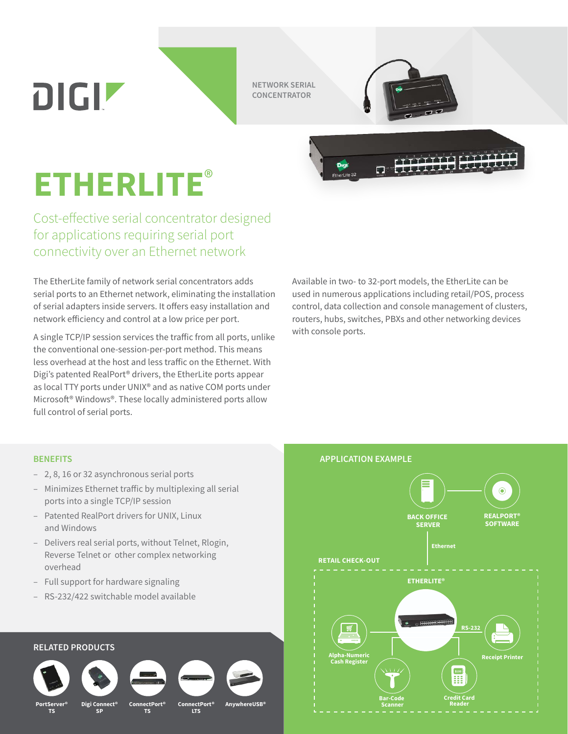DIGIZ

**NETWORK SERIAL CONCENTRATOR**

Dia

 $\Box$ 



## **ETHERLITE**®

Cost-effective serial concentrator designed for applications requiring serial port connectivity over an Ethernet network

The EtherLite family of network serial concentrators adds serial ports to an Ethernet network, eliminating the installation of serial adapters inside servers. It offers easy installation and network efficiency and control at a low price per port.

A single TCP/IP session services the traffic from all ports, unlike the conventional one-session-per-port method. This means less overhead at the host and less traffic on the Ethernet. With Digi's patented RealPort® drivers, the EtherLite ports appear as local TTY ports under UNIX® and as native COM ports under Microsoft® Windows®. These locally administered ports allow full control of serial ports.

Available in two- to 32-port models, the EtherLite can be used in numerous applications including retail/POS, process control, data collection and console management of clusters, routers, hubs, switches, PBXs and other networking devices with console ports.

- 2, 8, 16 or 32 asynchronous serial ports
- Minimizes Ethernet traffic by multiplexing all serial ports into a single TCP/IP session
- Patented RealPort drivers for UNIX, Linux and Windows
- Delivers real serial ports, without Telnet, Rlogin, Reverse Telnet or other complex networking overhead
- Full support for hardware signaling
- RS-232/422 switchable model available

## **RELATED PRODUCTS PortServer® TS ConnectPort® TS Digi Connect® AnywhereUSB® ConnectPort® LTS SP**

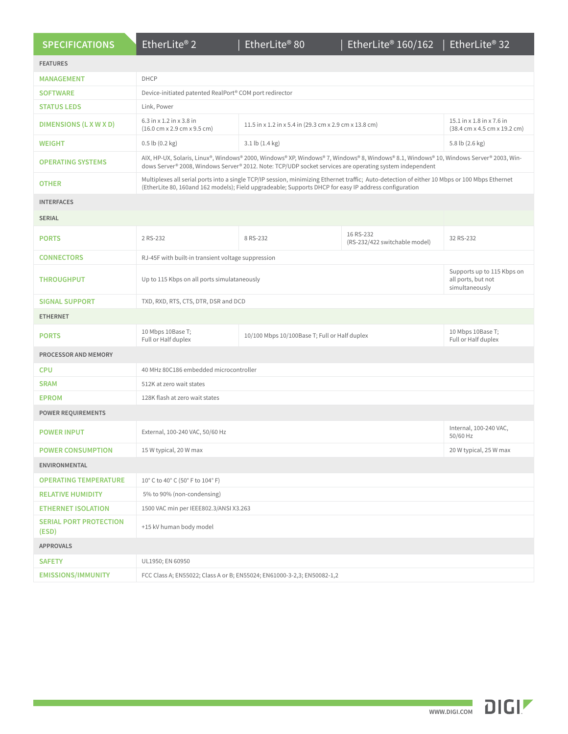|  | <b>SPECIFICATIONS</b> |  |  |
|--|-----------------------|--|--|
|  |                       |  |  |
|  |                       |  |  |

| <b>FEATURES</b>                        |                                                                                                                                                                                                                                                        |                                                        |                                            |                                                                                               |  |  |
|----------------------------------------|--------------------------------------------------------------------------------------------------------------------------------------------------------------------------------------------------------------------------------------------------------|--------------------------------------------------------|--------------------------------------------|-----------------------------------------------------------------------------------------------|--|--|
| <b>MANAGEMENT</b>                      | DHCP                                                                                                                                                                                                                                                   |                                                        |                                            |                                                                                               |  |  |
| <b>SOFTWARE</b>                        | Device-initiated patented RealPort® COM port redirector                                                                                                                                                                                                |                                                        |                                            |                                                                                               |  |  |
| <b>STATUS LEDS</b>                     | Link, Power                                                                                                                                                                                                                                            |                                                        |                                            |                                                                                               |  |  |
| <b>DIMENSIONS (L X W X D)</b>          | 6.3 in x 1.2 in x 3.8 in<br>$(16.0 \text{ cm} \times 2.9 \text{ cm} \times 9.5 \text{ cm})$                                                                                                                                                            | 11.5 in x 1.2 in x 5.4 in (29.3 cm x 2.9 cm x 13.8 cm) |                                            | 15.1 in x 1.8 in x 7.6 in<br>$(38.4 \text{ cm} \times 4.5 \text{ cm} \times 19.2 \text{ cm})$ |  |  |
| <b>WEIGHT</b>                          | $0.5$ lb $(0.2$ kg)                                                                                                                                                                                                                                    | $3.1$ lb $(1.4 \text{ kg})$                            |                                            | 5.8 lb (2.6 kg)                                                                               |  |  |
| <b>OPERATING SYSTEMS</b>               | AIX, HP-UX, Solaris, Linux®, Windows® 2000, Windows® XP, Windows® 7, Windows® 8, Windows® 8.1, Windows® 10, Windows Server® 2003, Win-<br>dows Server® 2008, Windows Server® 2012. Note: TCP/UDP socket services are operating system independent      |                                                        |                                            |                                                                                               |  |  |
| <b>OTHER</b>                           | Multiplexes all serial ports into a single TCP/IP session, minimizing Ethernet traffic; Auto-detection of either 10 Mbps or 100 Mbps Ethernet<br>(EtherLite 80, 160and 162 models); Field upgradeable; Supports DHCP for easy IP address configuration |                                                        |                                            |                                                                                               |  |  |
| <b>INTERFACES</b>                      |                                                                                                                                                                                                                                                        |                                                        |                                            |                                                                                               |  |  |
| <b>SERIAL</b>                          |                                                                                                                                                                                                                                                        |                                                        |                                            |                                                                                               |  |  |
| <b>PORTS</b>                           | 2 RS-232                                                                                                                                                                                                                                               | 8 RS-232                                               | 16 RS-232<br>(RS-232/422 switchable model) | 32 RS-232                                                                                     |  |  |
| <b>CONNECTORS</b>                      | RJ-45F with built-in transient voltage suppression                                                                                                                                                                                                     |                                                        |                                            |                                                                                               |  |  |
| <b>THROUGHPUT</b>                      | Up to 115 Kbps on all ports simulataneously                                                                                                                                                                                                            |                                                        |                                            | Supports up to 115 Kbps on<br>all ports, but not<br>simultaneously                            |  |  |
| <b>SIGNAL SUPPORT</b>                  | TXD, RXD, RTS, CTS, DTR, DSR and DCD                                                                                                                                                                                                                   |                                                        |                                            |                                                                                               |  |  |
| <b>ETHERNET</b>                        |                                                                                                                                                                                                                                                        |                                                        |                                            |                                                                                               |  |  |
| <b>PORTS</b>                           | 10 Mbps 10Base T;<br>Full or Half duplex                                                                                                                                                                                                               | 10/100 Mbps 10/100Base T; Full or Half duplex          |                                            | 10 Mbps 10Base T;<br>Full or Half duplex                                                      |  |  |
| PROCESSOR AND MEMORY                   |                                                                                                                                                                                                                                                        |                                                        |                                            |                                                                                               |  |  |
| <b>CPU</b>                             | 40 MHz 80C186 embedded microcontroller                                                                                                                                                                                                                 |                                                        |                                            |                                                                                               |  |  |
| <b>SRAM</b>                            | 512K at zero wait states                                                                                                                                                                                                                               |                                                        |                                            |                                                                                               |  |  |
| <b>EPROM</b>                           | 128K flash at zero wait states                                                                                                                                                                                                                         |                                                        |                                            |                                                                                               |  |  |
| <b>POWER REQUIREMENTS</b>              |                                                                                                                                                                                                                                                        |                                                        |                                            |                                                                                               |  |  |
| <b>POWER INPUT</b>                     | External, 100-240 VAC, 50/60 Hz                                                                                                                                                                                                                        |                                                        |                                            | Internal, 100-240 VAC,<br>50/60 Hz                                                            |  |  |
| <b>POWER CONSUMPTION</b>               | 15 W typical, 20 W max                                                                                                                                                                                                                                 |                                                        |                                            | 20 W typical, 25 W max                                                                        |  |  |
| ENVIRONMENTAL                          |                                                                                                                                                                                                                                                        |                                                        |                                            |                                                                                               |  |  |
| <b>OPERATING TEMPERATURE</b>           | 10° C to 40° C (50° F to 104° F)                                                                                                                                                                                                                       |                                                        |                                            |                                                                                               |  |  |
| <b>RELATIVE HUMIDITY</b>               | 5% to 90% (non-condensing)                                                                                                                                                                                                                             |                                                        |                                            |                                                                                               |  |  |
| <b>ETHERNET ISOLATION</b>              | 1500 VAC min per IEEE802.3/ANSI X3.263                                                                                                                                                                                                                 |                                                        |                                            |                                                                                               |  |  |
| <b>SERIAL PORT PROTECTION</b><br>(ESD) | +15 kV human body model                                                                                                                                                                                                                                |                                                        |                                            |                                                                                               |  |  |
| <b>APPROVALS</b>                       |                                                                                                                                                                                                                                                        |                                                        |                                            |                                                                                               |  |  |
| <b>SAFETY</b>                          | UL1950; EN 60950                                                                                                                                                                                                                                       |                                                        |                                            |                                                                                               |  |  |
| <b>EMISSIONS/IMMUNITY</b>              | FCC Class A; EN55022; Class A or B; EN55024; EN61000-3-2,3; EN50082-1,2                                                                                                                                                                                |                                                        |                                            |                                                                                               |  |  |